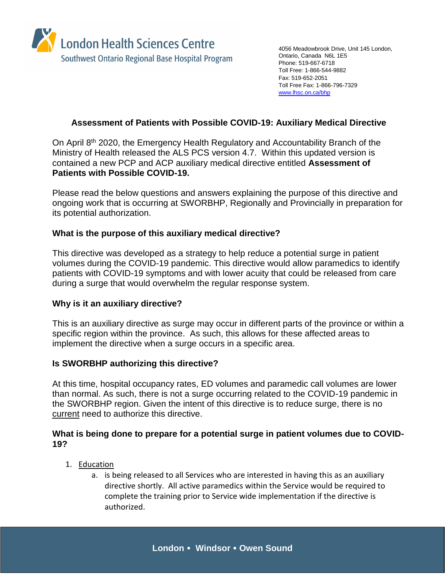

4056 Meadowbrook Drive, Unit 145 London, Ontario, Canada N6L 1E5 Phone: 519-667-6718 Toll Free: 1-866-544-9882 Fax: 519-652-2051 Toll Free Fax: 1-866-796-7329 [www.lhsc.on.ca/bhp](http://www.lhsc.on.ca/bhp)

# **Assessment of Patients with Possible COVID-19: Auxiliary Medical Directive**

On April 8th 2020, the Emergency Health Regulatory and Accountability Branch of the Ministry of Health released the ALS PCS version 4.7. Within this updated version is contained a new PCP and ACP auxiliary medical directive entitled **Assessment of Patients with Possible COVID-19.**

Please read the below questions and answers explaining the purpose of this directive and ongoing work that is occurring at SWORBHP, Regionally and Provincially in preparation for its potential authorization.

## **What is the purpose of this auxiliary medical directive?**

This directive was developed as a strategy to help reduce a potential surge in patient volumes during the COVID-19 pandemic. This directive would allow paramedics to identify patients with COVID-19 symptoms and with lower acuity that could be released from care during a surge that would overwhelm the regular response system.

## **Why is it an auxiliary directive?**

This is an auxiliary directive as surge may occur in different parts of the province or within a specific region within the province. As such, this allows for these affected areas to implement the directive when a surge occurs in a specific area.

## **Is SWORBHP authorizing this directive?**

At this time, hospital occupancy rates, ED volumes and paramedic call volumes are lower than normal. As such, there is not a surge occurring related to the COVID-19 pandemic in the SWORBHP region. Given the intent of this directive is to reduce surge, there is no current need to authorize this directive.

## **What is being done to prepare for a potential surge in patient volumes due to COVID-19?**

- 1. Education
	- a. is being released to all Services who are interested in having this as an auxiliary directive shortly. All active paramedics within the Service would be required to complete the training prior to Service wide implementation if the directive is authorized.